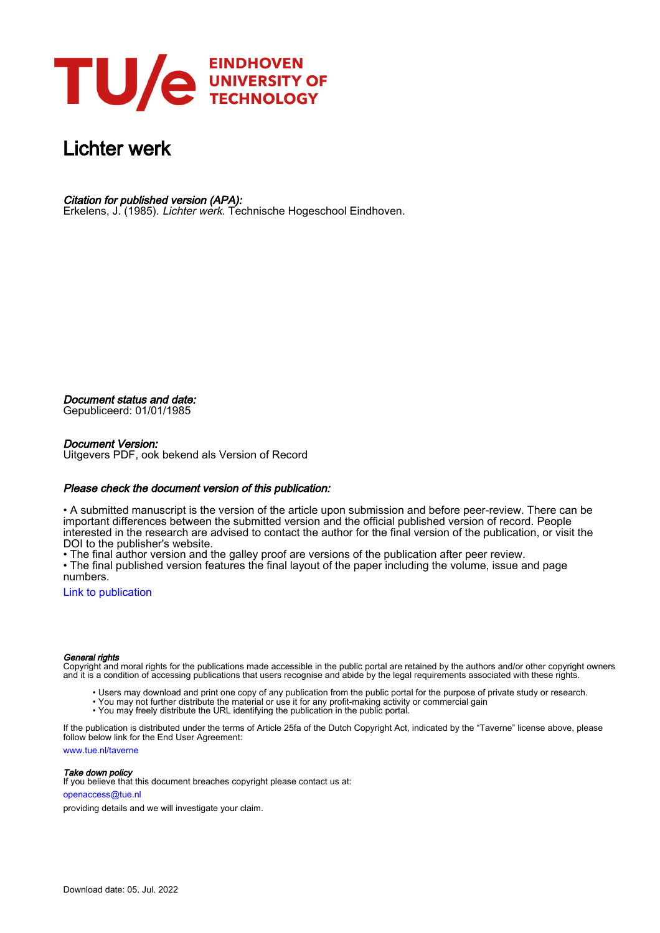

### Lichter werk

Citation for published version (APA):

Erkelens, J. (1985). Lichter werk. Technische Hogeschool Eindhoven.

Document status and date:

Gepubliceerd: 01/01/1985

#### Document Version:

Uitgevers PDF, ook bekend als Version of Record

#### Please check the document version of this publication:

• A submitted manuscript is the version of the article upon submission and before peer-review. There can be important differences between the submitted version and the official published version of record. People interested in the research are advised to contact the author for the final version of the publication, or visit the DOI to the publisher's website.

• The final author version and the galley proof are versions of the publication after peer review.

• The final published version features the final layout of the paper including the volume, issue and page numbers.

[Link to publication](https://research.tue.nl/nl/publications/3de0bfbe-034f-4350-bb0f-eda23c1735ed)

#### General rights

Copyright and moral rights for the publications made accessible in the public portal are retained by the authors and/or other copyright owners and it is a condition of accessing publications that users recognise and abide by the legal requirements associated with these rights.

- Users may download and print one copy of any publication from the public portal for the purpose of private study or research.
- You may not further distribute the material or use it for any profit-making activity or commercial gain
- You may freely distribute the URL identifying the publication in the public portal.

If the publication is distributed under the terms of Article 25fa of the Dutch Copyright Act, indicated by the "Taverne" license above, please follow below link for the End User Agreement:

www.tue.nl/taverne

**Take down policy**<br>If you believe that this document breaches copyright please contact us at:

openaccess@tue.nl

providing details and we will investigate your claim.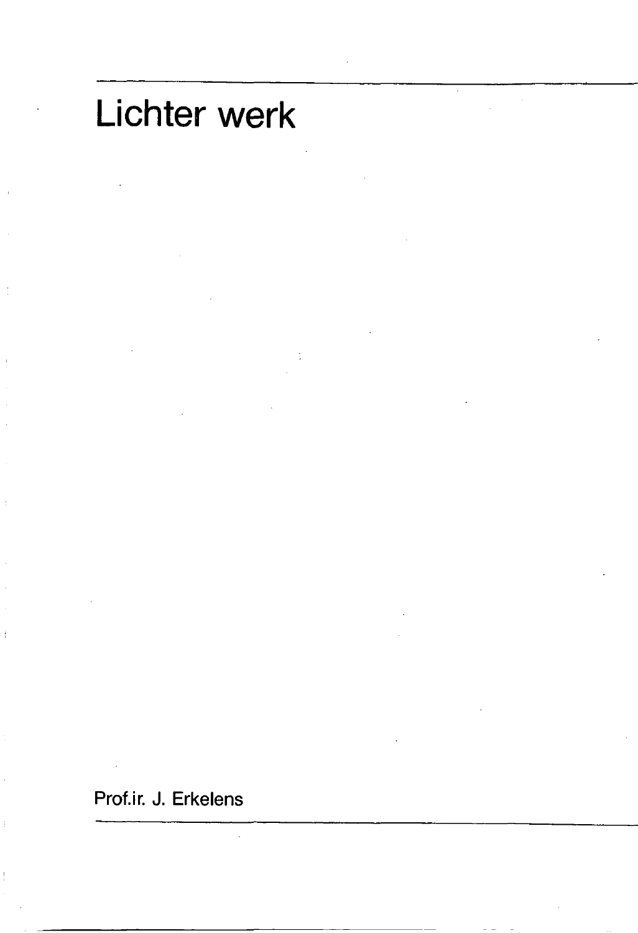# Lichter werk

Prof.ir. J. Erkelens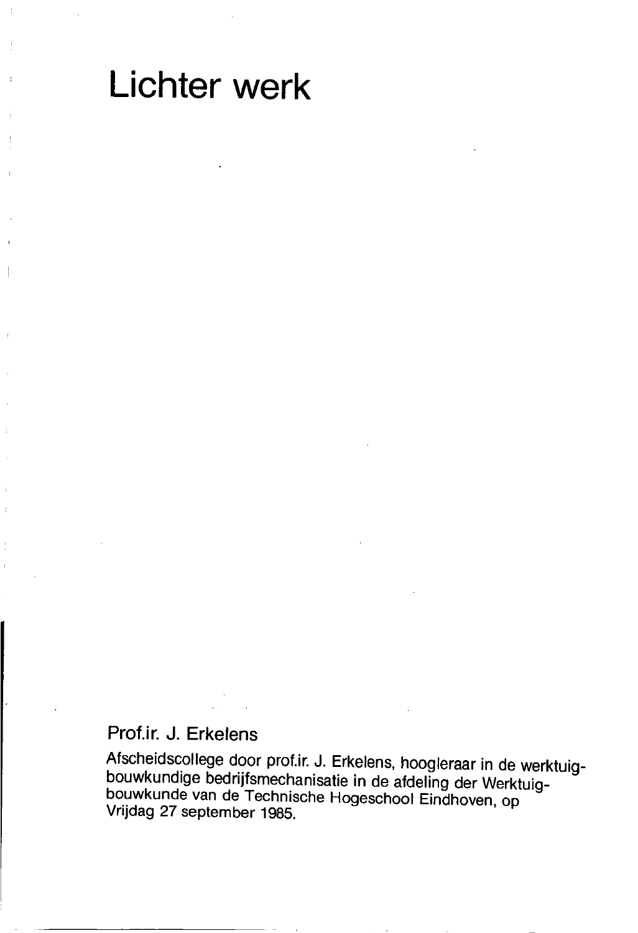## Lichter werk

#### Prof.ir. J. Erkelens

Afscheidscollege door prof.ir. J. Erkelens, hoogleraar in de werktuigbouwkundige bedrijfsmechanisatie in de afdeling der Werktuigbouwkunde van de Technische Hogeschool Eindhoven, op Vrijdag 27 september 1985.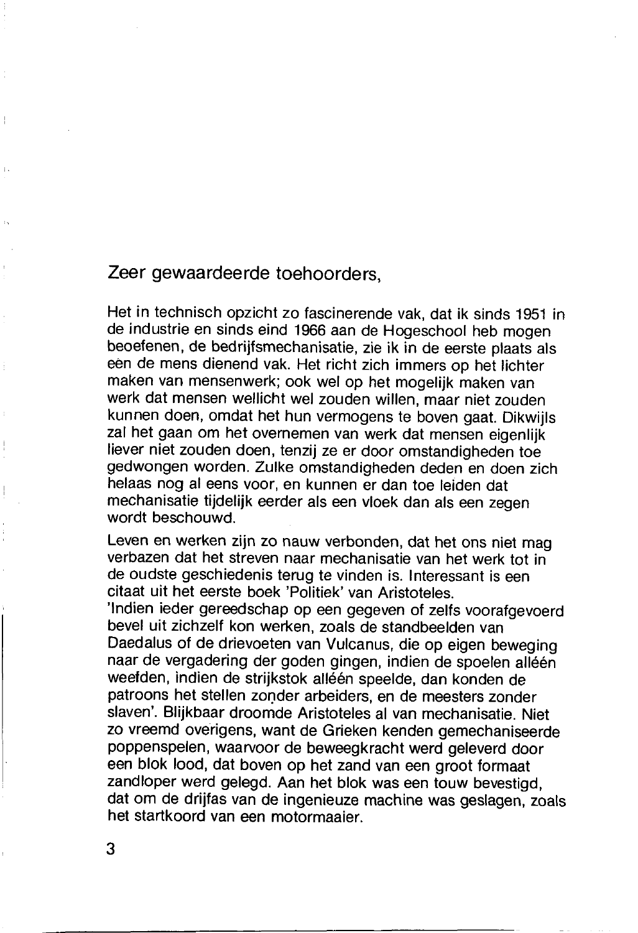#### Zeer gewaardeerde toehoorders.

Het in technisch opzicht zo fascinerende vak, dat ik sinds 1951 in de industrie en sinds eind 1966 aan de Hogeschool heb mogen beoefenen, de bedrijfsmechanisatie, zie ik in de eerste plaats als een de mens dienend vak. Het richt zich immers op het lichter maken van mensenwerk: ook wel op het mogelijk maken van werk dat mensen wellicht wel zouden willen, maar niet zouden kunnen doen, omdat het hun vermogens te boven gaat. Dikwiils zal het gaan om het overnemen van werk dat mensen eigenlijk liever niet zouden doen, tenzij ze er door omstandigheden toe gedwongen worden. Zulke omstandigheden deden en doen zich helaas nog al eens voor, en kunnen er dan toe leiden dat mechanisatie tijdelijk eerder als een vloek dan als een zegen wordt beschouwd

Leven en werken zijn zo nauw verbonden, dat het ons niet mag verbazen dat het streven naar mechanisatie van het werk tot in de oudste geschiedenis terug te vinden is. Interessant is een citaat uit het eerste boek 'Politiek' van Aristoteles.

'Indien ieder gereedschap op een gegeven of zelfs voorafgevoerd bevel uit zichzelf kon werken, zoals de standbeelden van Daedalus of de drievoeten van Vulcanus, die op eigen beweging naar de vergadering der goden gingen, indien de spoelen alléén weefden, indien de strijkstok alléén speelde, dan konden de patroons het stellen zonder arbeiders, en de meesters zonder slaven'. Blijkbaar droomde Aristoteles al van mechanisatie. Niet zo vreemd overigens, want de Grieken kenden gemechaniseerde poppenspelen, waarvoor de beweegkracht werd geleverd door een blok lood, dat boven op het zand van een groot formaat zandloper werd gelegd. Aan het blok was een touw bevestigd, dat om de drijfas van de ingenieuze machine was geslagen, zoals het startkoord van een motormaaier.

 $\mathbf{L}$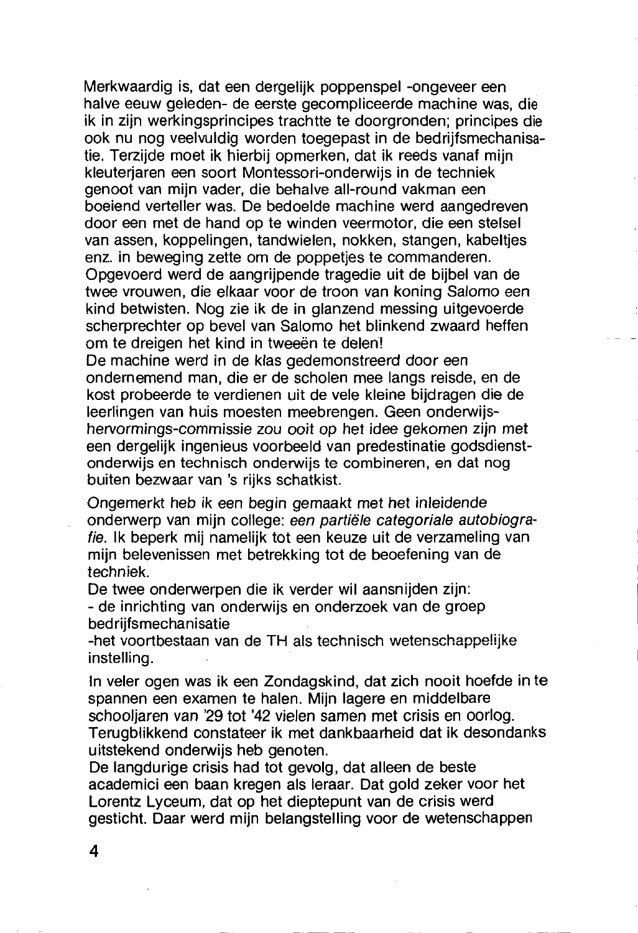Merkwaardig is, dat een dergelijk poppenspel -ongeveer een halve eeuw geleden- de eerste gecompliceerde machine was, die ik in zijn werkingsprincipes trachtte te doorgronden; principes die ook nu nog veelvuldig worden toegepast in de bedrijfsmechanisatie. Terzijde moet ik hierbij opmerken, dat ik reeds vanaf mijn kleuterjaren een soort Montessori-onderwijs in de techniek genoot van mijn vader, die behalve all-round vakman een boeiend verteller was. De bedoelde machine werd aangedreven door een met de hand op te winden veermotor, die een stelsel van assen, koppelingen, tandwielen, nokken, stangen, kabeltjes enz. in beweging zette om de poppeties te commanderen. Opgevoerd werd de aangrijpende tragedie uit de bijbel van de twee vrouwen, die elkaar voor de troon van koning Salomo een kind betwisten. Nog zie ik de in glanzend messing uitgevoerde scherprechter op bevel van Salomo het blinkend zwaard heffen

om te dreigen het kind in tweeën te delen!

De machine werd in de klas gedemonstreerd door een ondernemend man, die er de scholen mee langs reisde, en de kost probeerde te verdienen uit de vele kleine bijdragen die de leerlingen van huis moesten meebrengen. Geen onderwijshervormings-commissie zou ooit op het idee gekomen zijn met een dergelijk ingenieus voorbeeld van predestinatie godsdienstonderwijs en technisch onderwijs te combineren, en dat nog buiten bezwaar van 's rijks schatkist.

Ongemerkt heb ik een begin gemaakt met het inleidende onderwerp van miin college: een partiële categoriale autobiografie. Ik beperk mij namelijk tot een keuze uit de verzameling van mijn belevenissen met betrekking tot de beoefening van de techniek.

De twee onderwerpen die ik verder wil aansnijden zijn: - de inrichting van onderwijs en onderzoek van de groep bedriifsmechanisatie

-het voortbestaan van de TH als technisch wetenschappelijke instelling.

In veler ogen was ik een Zondagskind, dat zich nooit hoefde in te spannen een examen te halen. Mijn lagere en middelbare schooliaren van '29 tot '42 vielen samen met crisis en oorlog. Terugblikkend constateer ik met dankbaarheid dat ik desondanks uitstekend onderwijs heb genoten.

De langdurige crisis had tot gevolg, dat alleen de beste academici een baan kregen als leraar. Dat gold zeker voor het Lorentz Lyceum, dat op het dieptepunt van de crisis werd gesticht. Daar werd mijn belangstelling voor de wetenschappen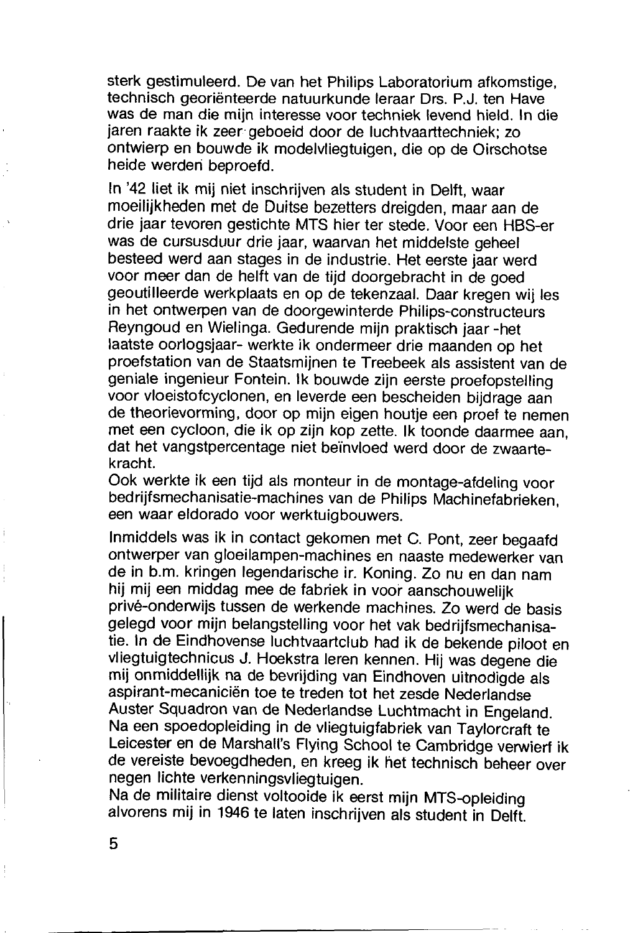sterk gestimuleerd. De van het Philips Laboratorium afkomstige. technisch georiënteerde natuurkunde leraar Drs. P.J. ten Have was de man die mijn interesse voor techniek levend hield. In die jaren raakte ik zeer geboeid door de luchtvaarttechniek; zo ontwierp en bouwde ik modelvliegtuigen, die op de Oirschotse heide werden beproefd.

In '42 liet ik mij niet inschrijven als student in Delft, waar moeilijkheden met de Duitse bezetters dreigden, maar aan de drie jaar tevoren gestichte MTS hier ter stede. Voor een HBS-er was de cursusduur drie jaar, waarvan het middelste geheel besteed werd aan stages in de industrie. Het eerste jaar werd voor meer dan de helft van de tijd doorgebracht in de goed geoutilleerde werkplaats en op de tekenzaal. Daar kregen wij les in het ontwerpen van de doorgewinterde Philips-constructeurs Reyngoud en Wielinga. Gedurende mijn praktisch jaar -het laatste oorlogsjaar- werkte ik ondermeer drie maanden op het proefstation van de Staatsmijnen te Treebeek als assistent van de geniale ingenieur Fontein. Ik bouwde zijn eerste proefopstelling voor vloeistofcyclonen, en leverde een bescheiden bijdrage aan de theorievorming, door op mijn eigen houtie een proef te nemen met een cycloon, die ik op zijn kop zette. Ik toonde daarmee aan. dat het vangstpercentage niet beïnvloed werd door de zwaartekracht.

Ook werkte ik een tiid als monteur in de montage-afdeling voor bedriifsmechanisatie-machines van de Philips Machinefabrieken. een waar eldorado voor werktuigbouwers.

Inmiddels was ik in contact gekomen met C. Pont, zeer begaafd ontwerper van gloeilampen-machines en naaste medewerker van de in b.m. kringen legendarische ir. Koning. Zo nu en dan nam hii mii een middag mee de fabriek in voor aanschouwelijk privé-onderwijs tussen de werkende machines. Zo werd de basis gelegd voor mijn belangstelling voor het vak bedrijfsmechanisatie. In de Eindhovense luchtvaartclub had ik de bekende piloot en vliegtuigtechnicus J. Hoekstra leren kennen. Hij was degene die mii onmiddellijk na de bevrijding van Eindhoven uitnodigde als aspirant-mecaniciën toe te treden tot het zesde Nederlandse Auster Squadron van de Nederlandse Luchtmacht in Engeland. Na een spoedopleiding in de vliegtuigfabriek van Taylorcraft te Leicester en de Marshall's Flying School te Cambridge verwierf ik de vereiste bevoegdheden, en kreeg ik het technisch beheer over negen lichte verkenningsvliegtuigen.

Na de militaire dienst voltooide ik eerst mijn MTS-opleiding alvorens mij in 1946 te laten inschrijven als student in Delft.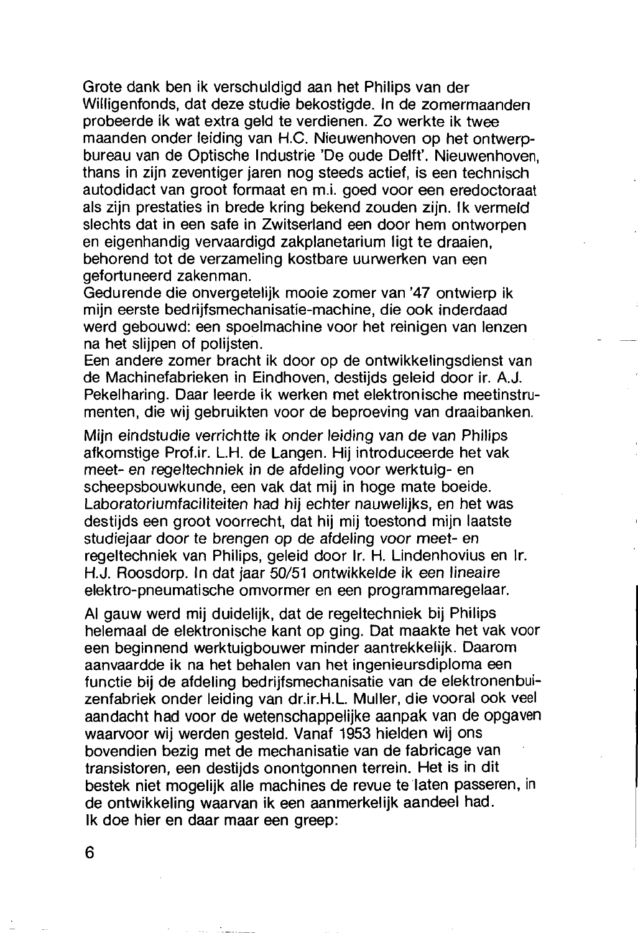Grote dank ben ik verschuldigd aan het Philips van der Willigenfonds, dat deze studie bekostigde. In de zomermaanden probeerde ik wat extra geld te verdienen. Zo werkte ik twee maanden onder leiding van H.C. Nieuwenhoven op het ontwerpbureau van de Optische Industrie 'De oude Delft'. Nieuwenhoven, thans in zijn zeventiger jaren nog steeds actief, is een technisch autodidact van groot formaat en m.i. goed voor een eredoctoraat als zijn prestaties in brede kring bekend zouden zijn. Ik vermeld slechts dat in een safe in Zwitserland een door hem ontworpen en eigenhandig vervaardigd zakplanetarium ligt te draaien. behorend tot de verzameling kostbare uurwerken van een gefortuneerd zakenman.

Gedurende die onvergetelijk mooie zomer van '47 ontwierp ik miin eerste bedriifsmechanisatie-machine, die ook inderdaad werd gebouwd: een spoelmachine voor het reinigen van lenzen na het slijpen of polijsten.

Een andere zomer bracht ik door op de ontwikkelingsdienst van de Machinefabrieken in Eindhoven, destijds geleid door ir. A.J. Pekelharing. Daar leerde ik werken met elektronische meetinstrumenten, die wij gebruikten voor de beproeving van draaibanken.

Miin eindstudie verrichtte ik onder leiding van de van Philips afkomstige Prof.ir, L.H. de Langen. Hij introduceerde het vak meet- en regeltechniek in de afdeling voor werktuig- en scheepsbouwkunde, een vak dat mij in hoge mate boeide. Laboratoriumfaciliteiten had hij echter nauwelijks, en het was destiids een groot voorrecht, dat hij mij toestond mijn laatste studiejaar door te brengen op de afdeling voor meet- en regeltechniek van Philips, geleid door Ir. H. Lindenhovius en Ir. H.J. Roosdorp. In dat jaar 50/51 ontwikkelde ik een lineaire elektro-pneumatische omvormer en een programmaregelaar.

Al gauw werd mij duidelijk, dat de regeltechniek bij Philips helemaal de elektronische kant op ging. Dat maakte het vak voor een beginnend werktuigbouwer minder aantrekkelijk. Daarom aanvaardde ik na het behalen van het ingenieursdiploma een functie bij de afdeling bedrijfsmechanisatie van de elektronenbuizenfabriek onder leiding van dr.ir.H.L. Muller, die vooral ook veel aandacht had voor de wetenschappelijke aanpak van de opgaven waarvoor wij werden gesteld. Vanaf 1953 hielden wij ons bovendien bezig met de mechanisatie van de fabricage van transistoren, een destijds onontgonnen terrein. Het is in dit bestek niet mogelijk alle machines de revue te laten passeren, in de ontwikkeling waarvan ik een aanmerkelijk aandeel had. Ik doe hier en daar maar een greep: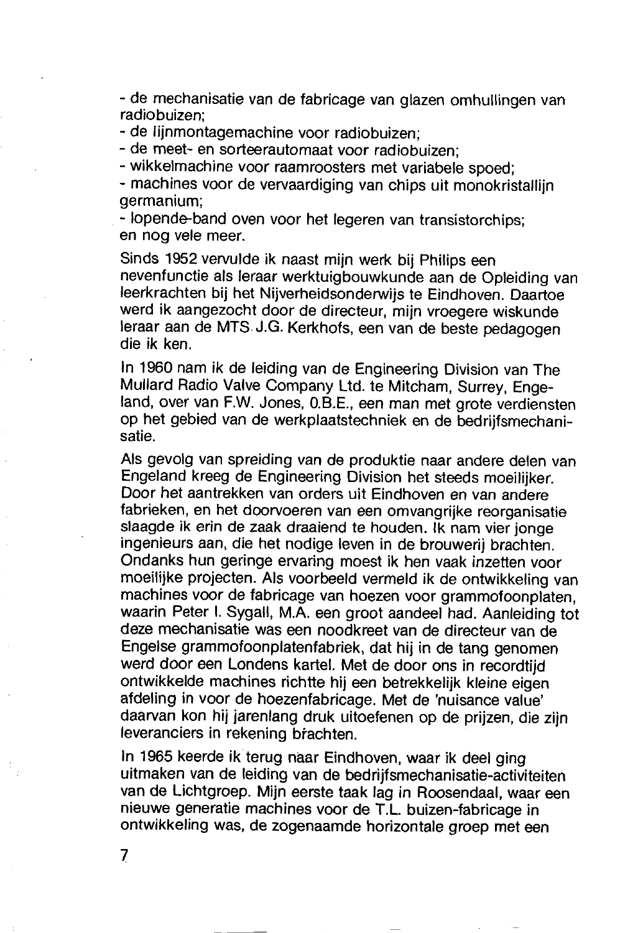- de mechanisatie van de fabricage van glazen omhullingen van radiobuizen<sup>.</sup>

- de lijnmontagemachine voor radiobuizen:

- de meet- en sorteerautomaat voor radiobuizen:

- wikkelmachine voor raamroosters met variabele spoed:

- machines voor de vervaardiging van chips uit monokristallijn germanium;

- lopende-band oven voor het legeren van transistorchips; en nog vele meer.

Sinds 1952 vervulde ik naast mijn werk bij Philips een nevenfunctie als leraar werktuigbouwkunde aan de Opleiding van leerkrachten bij het Nijverheidsonderwijs te Eindhoven. Daartoe werd ik aangezocht door de directeur, mijn vroegere wiskunde leraar aan de MTS J.G. Kerkhofs, een van de beste pedagogen die ik ken.

In 1960 nam ik de leiding van de Engineering Division van The Mullard Radio Valve Company Ltd. te Mitcham, Surrey, Engeland, over van F.W. Jones, O.B.E., een man met grote verdiensten op het gebied van de werkplaatstechniek en de bedrijfsmechanisatie

Als gevolg van spreiding van de produktie naar andere delen van Engeland kreeg de Engineering Division het steeds moeilijker. Door het aantrekken van orders uit Eindhoven en van andere fabrieken, en het doorvoeren van een omvangrijke reorganisatie slaagde ik erin de zaak draaiend te houden. Ik nam vier jonge ingenieurs aan, die het nodige leven in de brouwerij brachten. Ondanks hun geringe ervaring moest ik hen vaak inzetten voor moeilijke projecten. Als voorbeeld vermeld ik de ontwikkeling van machines voor de fabricage van hoezen voor grammofoonplaten, waarin Peter I. Sygall, M.A. een groot aandeel had. Aanleiding tot deze mechanisatie was een noodkreet van de directeur van de Engelse grammofoonplatenfabriek, dat hij in de tang genomen werd door een Londens kartel. Met de door ons in recordtijd ontwikkelde machines richtte hij een betrekkelijk kleine eigen afdeling in voor de hoezenfabricage. Met de 'nuisance value' daarvan kon hij jarenlang druk uitoefenen op de prijzen, die zijn leveranciers in rekening brachten.

In 1965 keerde ik terug naar Eindhoven, waar ik deel ging uitmaken van de leiding van de bedrijfsmechanisatie-activiteiten van de Lichtgroep. Mijn eerste taak lag in Roosendaal, waar een nieuwe generatie machines voor de T.L. buizen-fabricage in ontwikkeling was, de zogenaamde horizontale groep met een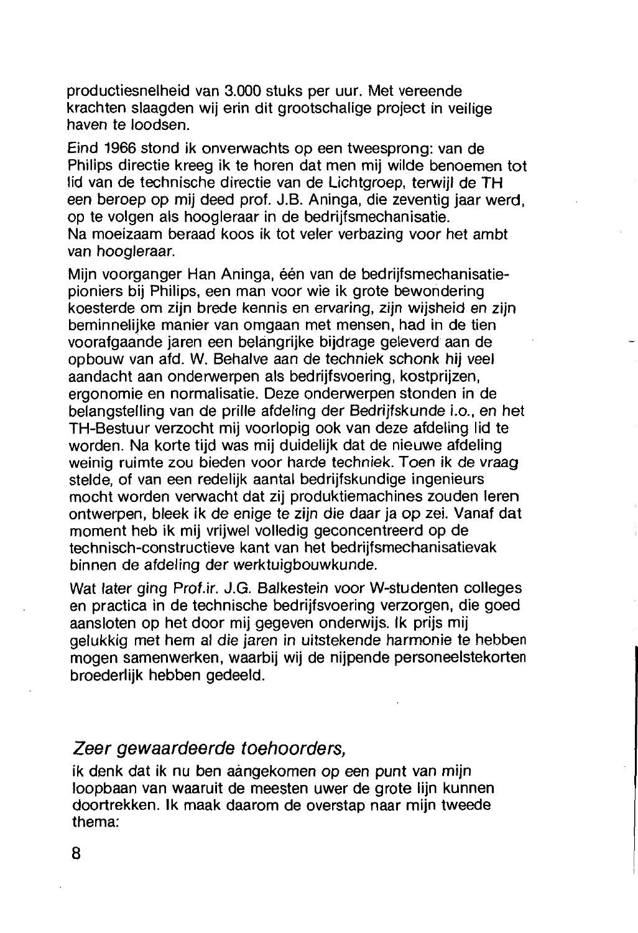producties nelheid van 3.000 stuks per uur. Met vereende krachten slaagden wij erin dit grootschalige project in veilige haven te loodsen

Eind 1966 stond ik onverwachts op een tweesprong; van de Philips directie kreeg ik te horen dat men mij wilde benoemen tot lid van de technische directie van de Lichtgroep, terwijl de TH een beroep op mij deed prof. J.B. Aninga, die zeventig jaar werd. op te volgen als hoogleraar in de bedrijfsmechanisatie. Na moeizaam beraad koos ik tot veler verbazing voor het ambt van hoogleraar.

Miin voorganger Han Aninga, één van de bedrijfsmechanisatiepioniers bij Philips, een man voor wie ik grote bewondering koesterde om zijn brede kennis en ervaring, zijn wijsheid en zijn beminnelijke manier van omgaan met mensen, had in de tien voorafgaande jaren een belangrijke bijdrage geleverd aan de opbouw van afd. W. Behalve aan de techniek schonk hij veel aandacht aan onderwerpen als bedrijfsvoering, kostprijzen, ergonomie en normalisatie. Deze onderwerpen stonden in de belangstelling van de prille afdeling der Bedrijfskunde i.o., en het TH-Bestuur verzocht mij voorlopig ook van deze afdeling lid te worden. Na korte tijd was mij duidelijk dat de nieuwe afdeling weinig ruimte zou bieden voor harde techniek. Toen ik de vraag stelde, of van een redelijk aantal bedrijfskundige ingenieurs mocht worden verwacht dat zij produktiemachines zouden leren ontwerpen, bleek ik de enige te zijn die daar ja op zei. Vanaf dat moment heb ik mij vrijwel volledig geconcentreerd op de technisch-constructieve kant van het bedrijfsmechanisatievak binnen de afdeling der werktuigbouwkunde.

Wat later ging Prof.ir, J.G. Balkestein voor W-studenten colleges en practica in de technische bedrijfsvoering verzorgen, die goed aansloten op het door mij gegeven onderwijs. Ik prijs mij gelukkig met hem al die jaren in uitstekende harmonie te hebben mogen samenwerken, waarbij wij de nijpende personeelstekorten broederlijk hebben gedeeld.

#### Zeer gewaardeerde toehoorders.

ik denk dat ik nu ben aangekomen op een punt van mijn loopbaan van waaruit de meesten uwer de grote lijn kunnen doortrekken. Ik maak daarom de overstap naar mijn tweede thema: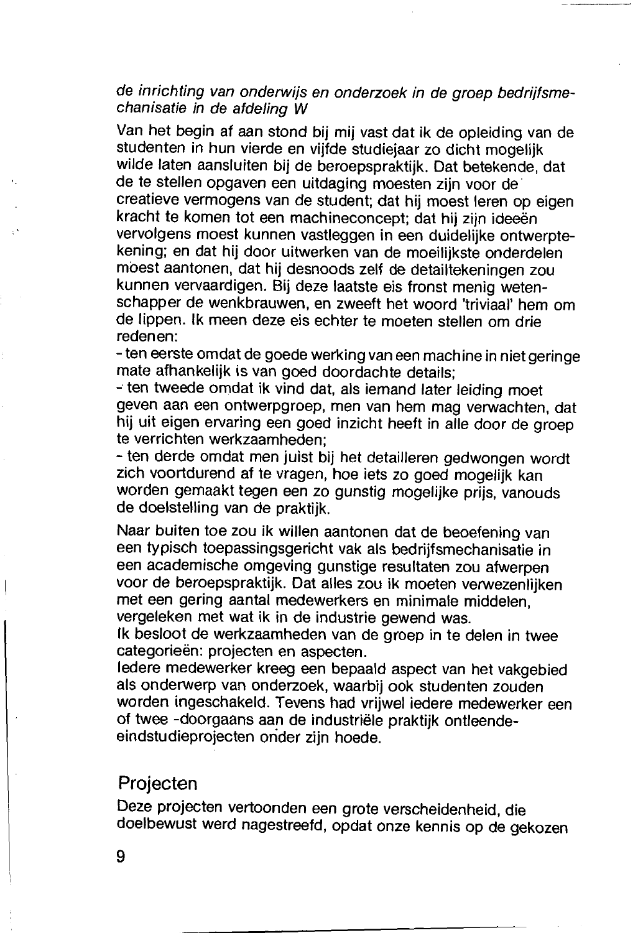#### de inrichting van onderwijs en onderzoek in de groep bedrijfsmechanisatie in de afdeling W

Van het begin af aan stond bij mij vast dat ik de opleiding van de studenten in hun vierde en vijfde studiejaar zo dicht mogelijk wilde laten aansluiten bij de beroepspraktijk. Dat betekende, dat de te stellen opgaven een uitdaging moesten zijn voor de creatieve vermogens van de student; dat hij moest leren op eigen kracht te komen tot een machineconcept; dat hij zijn ideeën vervolgens moest kunnen vastleggen in een duidelijke ontwerptekening; en dat hij door uitwerken van de moeilijkste onderdelen moest aantonen, dat hij desnoods zelf de detailtekeningen zou kunnen vervaardigen. Bij deze laatste eis fronst menig wetenschapper de wenkbrauwen, en zweeft het woord 'triviaal' hem om de lippen. Ik meen deze eis echter te moeten stellen om drie redenen:

- ten eerste omdat de goede werking van een machine in niet geringe mate afhankelijk is van goed doordachte details:

- ten tweede omdat ik vind dat, als iemand later leiding moet geven aan een ontwerpgroep, men van hem mag verwachten, dat hij uit eigen ervaring een goed inzicht heeft in alle door de groep te verrichten werkzaamheden:

- ten derde omdat men juist bij het detailleren gedwongen wordt zich voortdurend af te vragen, hoe iets zo goed mogelijk kan worden gemaakt tegen een zo gunstig mogelijke prijs, vanouds de doelstelling van de praktijk.

Naar buiten toe zou ik willen aantonen dat de beoefening van een typisch toepassingsgericht vak als bedrijfsmechanisatie in een academische omgeving gunstige resultaten zou afwerpen voor de beroepspraktijk. Dat alles zou ik moeten verwezenlijken met een gering aantal medewerkers en minimale middelen. vergeleken met wat ik in de industrie gewend was.

Ik besloot de werkzaamheden van de groep in te delen in twee categorieën: projecten en aspecten.

ledere medewerker kreeg een bepaald aspect van het vakgebied als onderwerp van onderzoek, waarbij ook studenten zouden worden ingeschakeld. Tevens had vrijwel iedere medewerker een of twee -doorgaans aan de industriële praktijk ontleendeeindstudieprojecten onder zijn hoede.

#### Projecten

Deze projecten vertoonden een grote verscheidenheid, die doelbewust werd nagestreefd, opdat onze kennis op de gekozen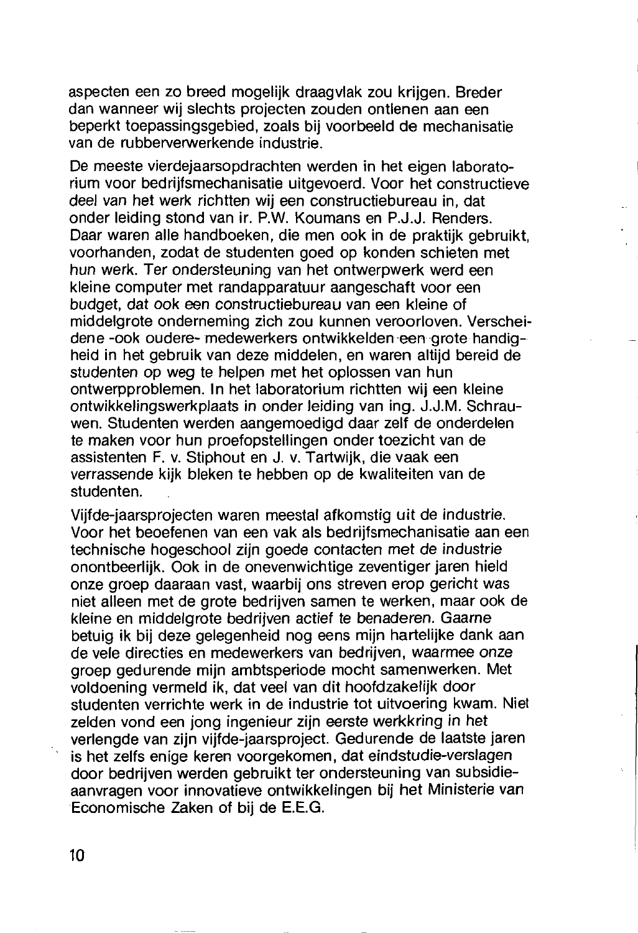aspecten een zo breed mogelijk draagvlak zou krijgen. Breder dan wanneer wij slechts projecten zouden ontlenen aan een beperkt toepassingsgebied, zoals bij voorbeeld de mechanisatie van de rubberverwerkende industrie

De meeste vierdejaarsopdrachten werden in het eigen laboratorium voor bedrijfsmechanisatie uitgevoerd. Voor het constructieve deel van het werk richtten wij een constructiebureau in, dat onder leiding stond van ir. P.W. Koumans en P.J.J. Renders. Daar waren alle handboeken, die men ook in de praktijk gebruikt. voorhanden, zodat de studenten goed op konden schieten met hun werk. Ter ondersteuning van het ontwerpwerk werd een kleine computer met randapparatuur aangeschaft voor een budget, dat ook een constructiebureau van een kleine of middelgrote onderneming zich zou kunnen veroorloven. Verscheidene -ook oudere- medewerkers ontwikkelden een grote handigheid in het gebruik van deze middelen, en waren altijd bereid de studenten op weg te helpen met het oplossen van hun ontwerpproblemen. In het laboratorium richtten wij een kleine ontwikkelingswerkplaats in onder leiding van ing. J.J.M. Schrauwen. Studenten werden aangemoedigd daar zelf de onderdelen te maken voor hun proefopstellingen onder toezicht van de assistenten F. v. Stiphout en J. v. Tartwijk, die vaak een verrassende kijk bleken te hebben op de kwaliteiten van de studenten.

Viifde-jaarsprojecten waren meestal afkomstig uit de industrie. Voor het beoefenen van een vak als bedrijfsmechanisatie aan een technische hogeschool zijn goede contacten met de industrie onontbeerlijk. Ook in de onevenwichtige zeventiger jaren hield onze groep daaraan vast, waarbij ons streven erop gericht was niet alleen met de grote bedrijven samen te werken, maar ook de kleine en middelgrote bedrijven actief te benaderen. Gaarne betuig ik bij deze gelegenheid nog eens mijn hartelijke dank aan de vele directies en medewerkers van bedrijven, waarmee onze groep gedurende mijn ambtsperiode mocht samenwerken. Met voldoening vermeld ik. dat veel van dit hoofdzakeliik door studenten verrichte werk in de industrie tot uitvoering kwam. Niet zelden vond een jong ingenieur zijn eerste werkkring in het verlengde van zijn vijfde-jaarsproject. Gedurende de laatste jaren is het zelfs enige keren voorgekomen, dat eindstudie-verslagen door bedrijven werden gebruikt ter ondersteuning van subsidieaanvragen voor innovatieve ontwikkelingen bij het Ministerie van Economische Zaken of bij de E.E.G.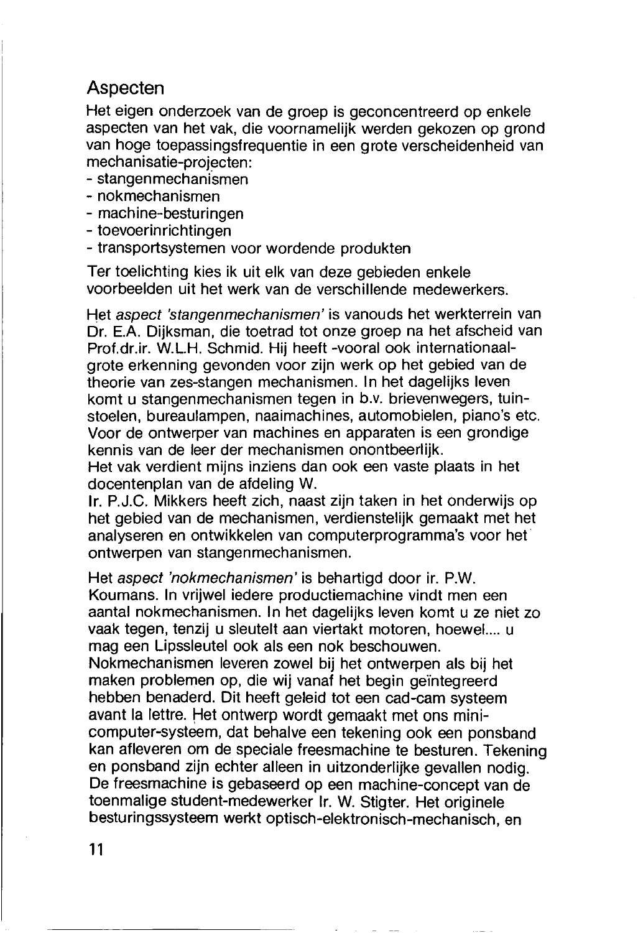#### Aspecten

Het eigen onderzoek van de groep is geconcentreerd op enkele aspecten van het vak, die voornamelijk werden gekozen op grond van hoge toepassingsfrequentie in een grote verscheidenheid van mechanisatie-projecten:

- stangenmechanismen
- nokmechanismen
- machine-besturingen
- toevoerinrichtingen
- transportsystemen voor wordende produkten

Ter toelichting kies ik uit elk van deze gebieden enkele voorbeelden uit het werk van de verschillende medewerkers.

Het aspect 'stangenmechanismen' is vanouds het werkterrein van Dr. E.A. Dijksman, die toetrad tot onze groep na het afscheid van Prof.dr.ir. W.L.H. Schmid. Hij heeft -vooral ook internationaalgrote erkenning gevonden voor zijn werk op het gebied van de theorie van zes-stangen mechanismen. In het dagelijks leven komt u stangenmechanismen tegen in b.v. brievenwegers, tuinstoelen, bureaulampen, naaimachines, automobielen, piano's etc. Voor de ontwerper van machines en apparaten is een grondige kennis van de leer der mechanismen onontbeerlijk.

Het vak verdient mijns inziens dan ook een vaste plaats in het docentenplan van de afdeling W.

Ir. P.J.C. Mikkers heeft zich, naast zijn taken in het onderwijs op het gebied van de mechanismen, verdienstelijk gemaakt met het analyseren en ontwikkelen van computerprogramma's voor het ontwerpen van stangenmechanismen.

Het aspect 'nokmechanismen' is behartigd door ir. P.W. Koumans. In vrijwel iedere productiemachine vindt men een aantal nokmechanismen. In het dagelijks leven komt u ze niet zo vaak tegen, tenzij u sleutelt aan viertakt motoren, hoewel..., u mag een Lipssleutel ook als een nok beschouwen. Nokmechanismen leveren zowel bij het ontwerpen als bij het maken problemen op, die wij vanaf het begin geïntegreerd hebben benaderd. Dit heeft geleid tot een cad-cam systeem avant la lettre. Het ontwerp wordt gemaakt met ons minicomputer-systeem, dat behalve een tekening ook een ponsband kan afleveren om de speciale freesmachine te besturen. Tekening en ponsband zijn echter alleen in uitzonderlijke gevallen nodig. De freesmachine is gebaseerd op een machine-concept van de toenmalige student-medewerker Ir. W. Stigter. Het originele besturingssysteem werkt optisch-elektronisch-mechanisch, en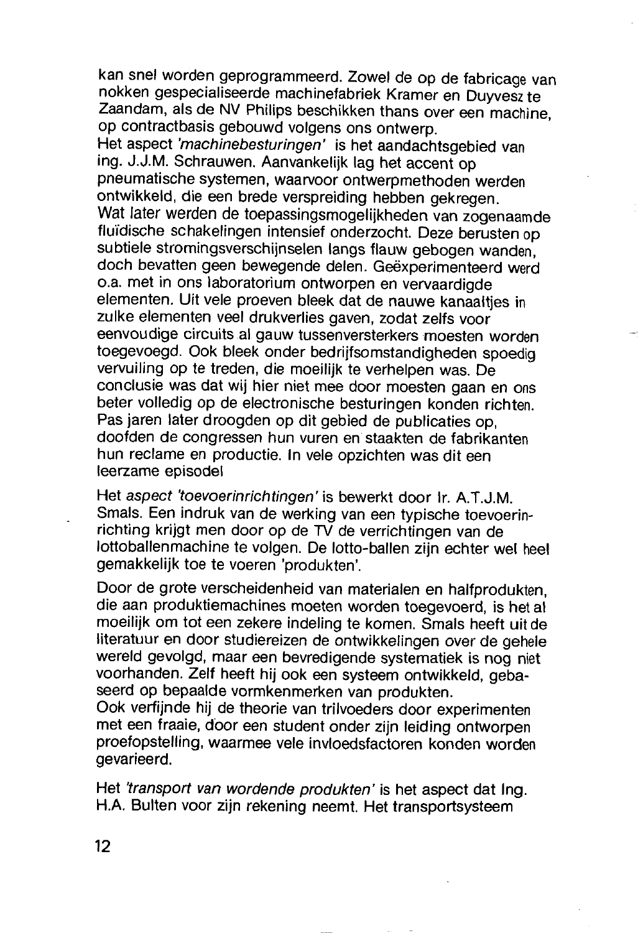kan snel worden geprogrammeerd. Zowel de op de fabricage van nokken gespecialiseerde machinefabriek Kramer en Duyvesz te Zaandam, als de NV Philips beschikken thans over een machine. on contractbasis gebouwd volgens ons ontwerp.

Het aspect 'machinebesturingen' is het aandachtsgebied van ing. J.J.M. Schrauwen. Aanvankelijk lag het accent op pneumatische systemen. waarvoor ontwerpmethoden werden ontwikkeld, die een brede verspreiding hebben gekregen. Wat later werden de toepassingsmogelijkheden van zogenaamde fluïdische schakelingen intensief onderzocht. Deze berusten op subtiele stromingsverschijnselen langs flauw gebogen wanden. doch bevatten geen bewegende delen. Geëxperimenteerd werd o.a. met in ons laboratorium ontworpen en vervaardigde elementen. Uit vele proeven bleek dat de nauwe kanaalties in zulke elementen veel drukverlies gaven, zodat zelfs voor eenvoudige circuits al gauw tussenversterkers moesten worden toegevoegd. Ook bleek onder bedrijfsomstandigheden spoedig vervuiling op te treden, die moeilijk te verhelpen was. De conclusie was dat wij hier niet mee door moesten gaan en ons beter volledig op de electronische besturingen konden richten. Pas jaren later droogden op dit gebied de publicaties op. doofden de congressen hun vuren en staakten de fabrikanten hun reclame en productie. In vele opzichten was dit een leerzame episodel

Het aspect 'toevoerinrichtingen' is bewerkt door Ir. A.T.J.M. Smals. Een indruk van de werking van een typische toevoerinrichting krijgt men door op de TV de verrichtingen van de lottoballenmachine te volgen. De lotto-ballen zijn echter wel heel gemakkelijk toe te voeren 'produkten'.

Door de grote verscheidenheid van materialen en halfprodukten. die aan produktiemachines moeten worden toegevoerd, is het al moeilijk om tot een zekere indeling te komen. Smals heeft uit de literatuur en door studiereizen de ontwikkelingen over de gehele wereld gevolgd, maar een bevredigende systematiek is nog niet voorhanden. Zelf heeft hij ook een systeem ontwikkeld, gebaseerd op bepaalde vormkenmerken van produkten.

Ook verfiinde hij de theorie van trilvoeders door experimenten met een fraaie, door een student onder zijn leiding ontworpen proefopstelling, waarmee vele invloedsfactoren konden worden gevarieerd.

Het 'transport van wordende produkten' is het aspect dat Ing. H.A. Bulten voor zijn rekening neemt. Het transportsysteem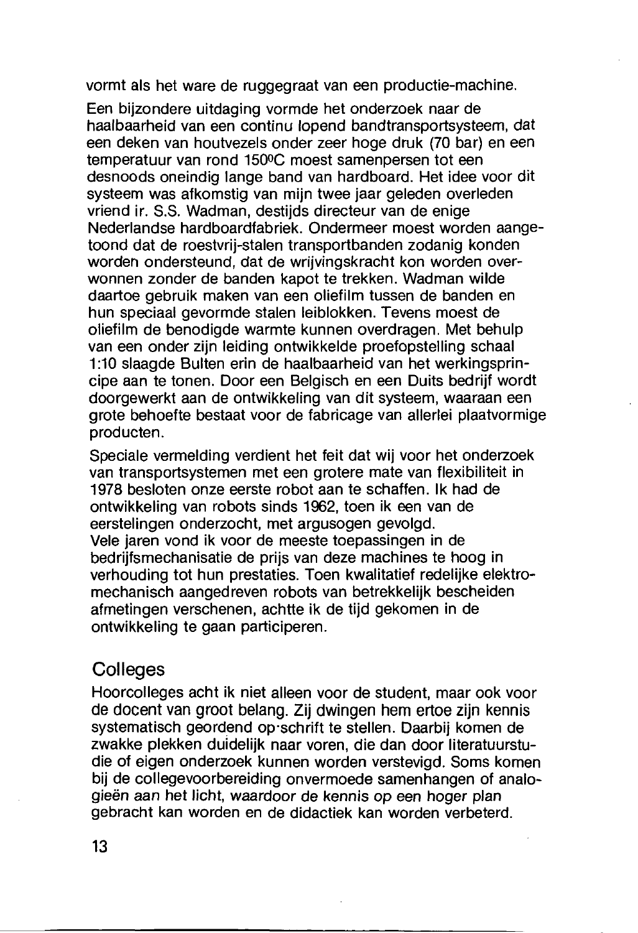vormt als het ware de ruggegraat van een productie-machine.

Een bijzondere uitdaging vormde het onderzoek naar de haalbaarheid van een continu lopend bandtransportsysteem, dat een deken van houtvezels onder zeer hoge druk (70 bar) en een temperatuur van rond 150°C moest samenpersen tot een desnoods oneindig lange band van hardboard. Het idee voor dit systeem was afkomstig van mijn twee jaar geleden overleden vriend ir. S.S. Wadman, destiids directeur van de enige Nederlandse hardboardfabriek. Ondermeer moest worden aangetoond dat de roestvrij-stalen transportbanden zodanig konden worden ondersteund, dat de wrijvingskracht kon worden overwonnen zonder de banden kapot te trekken. Wadman wilde daartoe gebruik maken van een oliefilm tussen de banden en hun speciaal gevormde stalen leiblokken. Tevens moest de oliefilm de benodigde warmte kunnen overdragen. Met behulp van een onder zijn leiding ontwikkelde proefopstelling schaal 1:10 slaagde Bulten erin de haalbaarheid van het werkingsprincipe aan te tonen. Door een Belgisch en een Duits bedrijf wordt doorgewerkt aan de ontwikkeling van dit systeem, waaraan een grote behoefte bestaat voor de fabricage van allerlei plaatvormige producten.

Speciale vermelding verdient het feit dat wij voor het onderzoek van transportsystemen met een grotere mate van flexibiliteit in 1978 besloten onze eerste robot aan te schaffen. Ik had de ontwikkeling van robots sinds 1962, toen ik een van de eerstelingen onderzocht, met argusogen gevolgd. Vele jaren vond ik voor de meeste toepassingen in de bedrijfsmechanisatie de prijs van deze machines te hoog in verhouding tot hun prestaties. Toen kwalitatief redelijke elektromechanisch aangedreven robots van betrekkelijk bescheiden afmetingen verschenen, achtte ik de tiid gekomen in de ontwikkeling te gaan participeren.

#### Colleges

Hoorcolleges acht ik niet alleen voor de student, maar ook voor de docent van groot belang. Zij dwingen hem ertoe zijn kennis systematisch geordend op schrift te stellen. Daarbij komen de zwakke plekken duidelijk naar voren, die dan door literatuurstudie of eigen onderzoek kunnen worden verstevigd. Soms komen bij de collegevoorbereiding onvermoede samenhangen of analogieën aan het licht, waardoor de kennis op een hoger plan gebracht kan worden en de didactiek kan worden verbeterd.

 $13$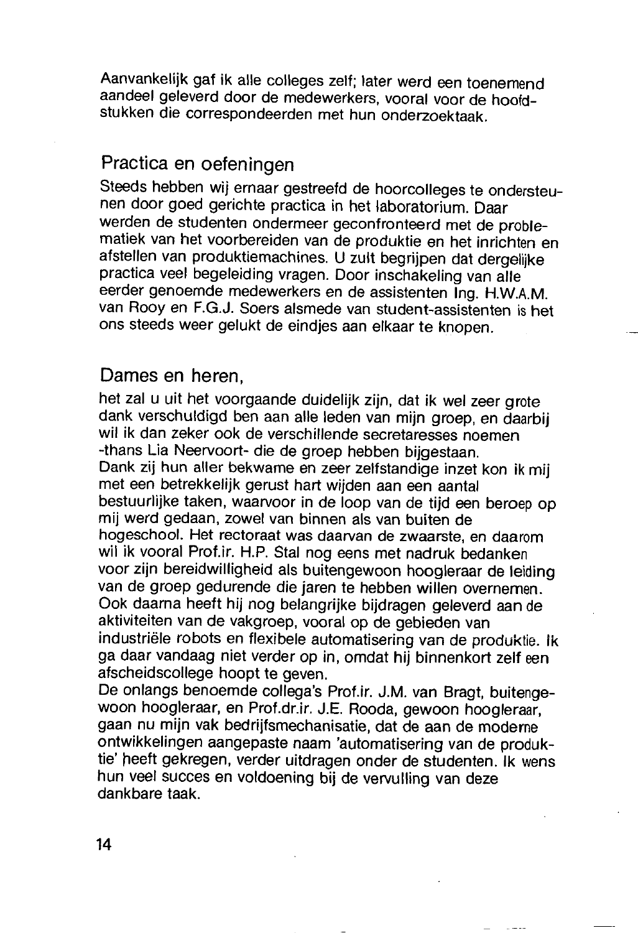Aanvankelijk gaf ik alle colleges zelf; later werd een toenemend aandeel geleverd door de medewerkers, vooral voor de hoofdstukken die correspondeerden met hun onderzoektaak.

### Practica en oefeningen

Steeds hebben wij ernaar gestreefd de hoorcolleges te ondersteunen door goed gerichte practica in het laboratorium. Daar werden de studenten ondermeer geconfronteerd met de problematiek van het voorbereiden van de produktie en het inrichten en afstellen van produktiemachines. U zult begrijpen dat dergelijke practica veel begeleiding vragen. Door inschakeling van alle eerder genoemde medewerkers en de assistenten Ing. H.W.A.M. van Rooy en F.G.J. Soers alsmede van student-assistenten is het ons steeds weer gelukt de eindjes aan elkaar te knopen.

#### Dames en heren.

het zal u uit het voorgaande duidelijk zijn, dat ik wel zeer grote dank verschuldigd ben aan alle leden van mijn groep, en daarbij wil ik dan zeker ook de verschillende secretaresses noemen -thans Lia Neervoort- die de groep hebben bijgestaan. Dank zij hun aller bekwame en zeer zelfstandige inzet kon ik mij met een betrekkelijk gerust hart wijden aan een aantal bestuurlijke taken, waarvoor in de loop van de tijd een beroep op mii werd gedaan, zowel van binnen als van buiten de hoaeschool. Het rectoraat was daarvan de zwaarste, en daarom wil ik vooral Prof.ir. H.P. Stal nog eens met nadruk bedanken voor zijn bereidwilligheid als buitengewoon hoogleraar de leiding van de groep gedurende die jaren te hebben willen overnemen. Ook daarna heeft hij nog belangrijke bijdragen geleverd aan de aktiviteiten van de vakgroep, vooral op de gebieden van industriële robots en flexibele automatisering van de produktie. Ik ga daar vandaag niet verder op in, omdat hij binnenkort zelf een afscheidscollege hoopt te geven.

De onlangs benoemde collega's Prof.ir. J.M. van Bragt, buitengewoon hoogleraar, en Prof.dr.ir. J.E. Rooda, gewoon hoogleraar, gaan nu mijn vak bedrijfsmechanisatie, dat de aan de moderne ontwikkelingen aangepaste naam 'automatisering van de produktie' heeft gekregen, verder uitdragen onder de studenten. Ik wens hun veel succes en voldoening bij de vervulling van deze dankhare taak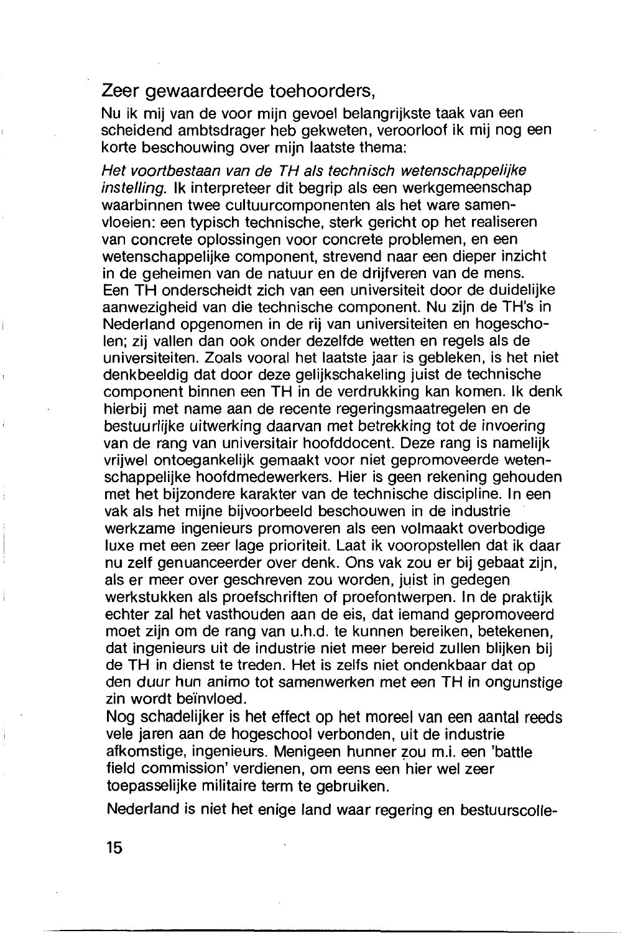#### Zeer gewaardeerde toehoorders.

Nu ik mij van de voor mijn gevoel belangrijkste taak van een scheidend ambtsdrager heb gekweten, veroorloof ik mij nog een korte beschouwing over mijn laatste thema:

Het voortbestaan van de TH als technisch wetenschappeliike instelling. Ik interpreteer dit begrip als een werkgemeenschap waarbinnen twee cultuurcomponenten als het ware samenvloeien: een typisch technische, sterk gericht op het realiseren van concrete oplossingen voor concrete problemen, en een wetenschappelijke component, strevend naar een dieper inzicht in de geheimen van de natuur en de drijfveren van de mens. Een TH onderscheidt zich van een universiteit door de duidelijke aanwezigheid van die technische component. Nu zijn de TH's in Nederland opgenomen in de rij van universiteiten en hogescholen; zij vallen dan ook onder dezelfde wetten en regels als de universiteiten. Zoals vooral het laatste jaar is gebleken, is het niet denkbeeldig dat door deze gelijkschakeling juist de technische component binnen een TH in de verdrukking kan komen. Ik denk hierbij met name aan de recente regeringsmaatregelen en de bestuurlijke uitwerking daarvan met betrekking tot de invoering van de rang van universitair hoofddocent. Deze rang is namelijk vrijwel ontoegankelijk gemaakt voor niet gepromoveerde wetenschappelijke hoofdmedewerkers. Hier is geen rekening gehouden met het bijzondere karakter van de technische discipline. In een vak als het mijne bijvoorbeeld beschouwen in de industrie werkzame ingenieurs promoveren als een volmaakt overbodige luxe met een zeer lage prioriteit. Laat ik vooropstellen dat ik daar nu zelf genuanceerder over denk. Ons vak zou er bij gebaat zijn. als er meer over geschreven zou worden, juist in gedegen werkstukken als proefschriften of proefontwerpen. In de praktijk echter zal het vasthouden aan de eis, dat iemand gepromoveerd moet zijn om de rang van u.h.d. te kunnen bereiken, betekenen. dat ingenieurs uit de industrie niet meer bereid zullen blijken bij de TH in dienst te treden. Het is zelfs niet ondenkbaar dat op den duur hun animo tot samenwerken met een TH in ongunstige zin wordt beïnvloed.

Nog schadelijker is het effect op het moreel van een aantal reeds vele jaren aan de hogeschool verbonden, uit de industrie afkomstige, ingenieurs. Menigeen hunner zou m.i. een 'battle field commission' verdienen. om eens een hier wel zeer toepasselijke militaire term te gebruiken.

Nederland is niet het enige land waar regering en bestuurscolle-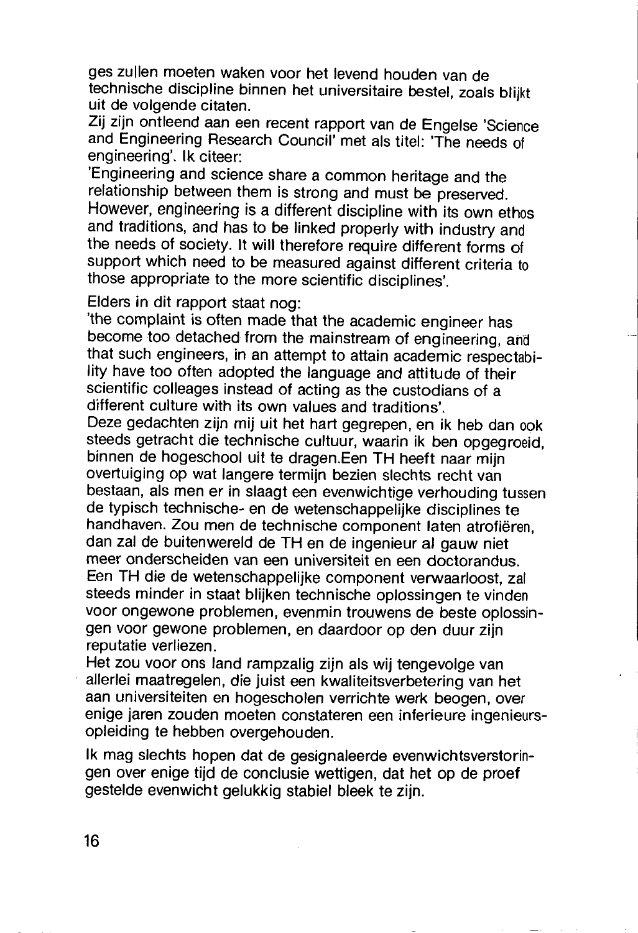ges zullen moeten waken voor het levend houden van de technische discipline binnen het universitaire bestel, zoals blijkt uit de volgende citaten.

Zii zijn ontleend aan een recent rapport van de Engelse 'Science and Engineering Research Council' met als titel: 'The needs of engineering'. Ik citeer:

'Engineering and science share a common heritage and the relationship between them is strong and must be preserved. However, engineering is a different discipline with its own ethos and traditions, and has to be linked properly with industry and the needs of society. It will therefore require different forms of support which need to be measured against different criteria to those appropriate to the more scientific disciplines'.

Elders in dit rapport staat nog:

'the complaint is often made that the academic engineer has become too detached from the mainstream of engineering, and that such engineers, in an attempt to attain academic respectability have too often adopted the language and attitude of their scientific colleages instead of acting as the custodians of a different culture with its own values and traditions'.

Deze gedachten zijn mij uit het hart gegrepen, en ik heb dan ook steeds getracht die technische cultuur, waarin ik ben opgegroeid. binnen de hogeschool uit te dragen.Een TH heeft naar mijn overtuiging op wat langere termijn bezien slechts recht van bestaan, als men er in slaagt een evenwichtige verhouding tussen de typisch technische- en de wetenschappelijke disciplines te handhaven. Zou men de technische component laten atrofiëren, dan zal de buitenwereld de TH en de ingenieur al gauw niet meer onderscheiden van een universiteit en een doctorandus. Een TH die de wetenschappelijke component verwaarloost, zal steeds minder in staat blijken technische oplossingen te vinden voor ongewone problemen, evenmin trouwens de beste oplossingen voor gewone problemen, en daardoor op den duur zijn reputatie verliezen.

Het zou voor ons land rampzalig zijn als wij tengevolge van allerlei maatregelen, die juist een kwaliteitsverbetering van het aan universiteiten en hogescholen verrichte werk beogen, over enige jaren zouden moeten constateren een inferieure ingenieursopleiding te hebben overgehouden.

Ik mag slechts hopen dat de gesignaleerde evenwichtsverstoringen over enige tijd de conclusie wettigen, dat het op de proef gestelde evenwicht gelukkig stabiel bleek te zijn.